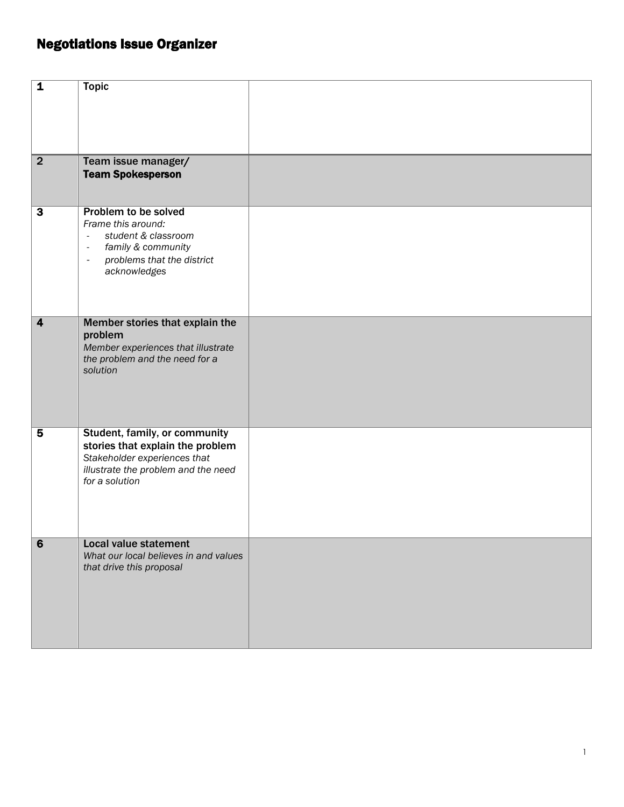## Negotiations Issue Organizer

| $\overline{\mathbf{1}}$ | <b>Topic</b>                                                         |  |
|-------------------------|----------------------------------------------------------------------|--|
|                         |                                                                      |  |
|                         |                                                                      |  |
|                         |                                                                      |  |
|                         |                                                                      |  |
|                         |                                                                      |  |
| $\overline{2}$          | Team issue manager/                                                  |  |
|                         | <b>Team Spokesperson</b>                                             |  |
|                         |                                                                      |  |
|                         |                                                                      |  |
| $\overline{\mathbf{3}}$ | <b>Problem to be solved</b>                                          |  |
|                         | Frame this around:                                                   |  |
|                         | student & classroom<br>$\overline{\phantom{a}}$                      |  |
|                         | family & community<br>$\overline{\phantom{a}}$                       |  |
|                         | problems that the district<br>$\overline{\phantom{a}}$               |  |
|                         | acknowledges                                                         |  |
|                         |                                                                      |  |
|                         |                                                                      |  |
|                         |                                                                      |  |
| $\overline{4}$          | Member stories that explain the                                      |  |
|                         | problem                                                              |  |
|                         | Member experiences that illustrate<br>the problem and the need for a |  |
|                         | solution                                                             |  |
|                         |                                                                      |  |
|                         |                                                                      |  |
|                         |                                                                      |  |
|                         |                                                                      |  |
| $\overline{\mathbf{5}}$ | Student, family, or community                                        |  |
|                         | stories that explain the problem                                     |  |
|                         | Stakeholder experiences that                                         |  |
|                         | illustrate the problem and the need                                  |  |
|                         | for a solution                                                       |  |
|                         |                                                                      |  |
|                         |                                                                      |  |
|                         |                                                                      |  |
| $6\overline{6}$         | <b>Local value statement</b>                                         |  |
|                         | What our local believes in and values                                |  |
|                         | that drive this proposal                                             |  |
|                         |                                                                      |  |
|                         |                                                                      |  |
|                         |                                                                      |  |
|                         |                                                                      |  |
|                         |                                                                      |  |
|                         |                                                                      |  |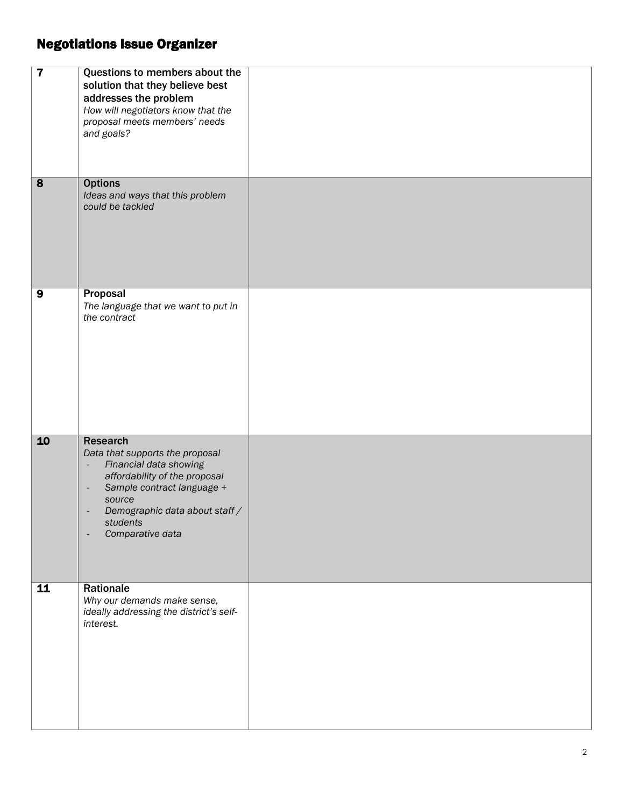## Negotiations Issue Organizer

| $\overline{\mathbf{7}}$ | Questions to members about the<br>solution that they believe best<br>addresses the problem<br>How will negotiators know that the<br>proposal meets members' needs<br>and goals?                                                                           |  |
|-------------------------|-----------------------------------------------------------------------------------------------------------------------------------------------------------------------------------------------------------------------------------------------------------|--|
| $\overline{\mathbf{8}}$ | <b>Options</b><br>Ideas and ways that this problem<br>could be tackled                                                                                                                                                                                    |  |
| $\overline{9}$          | Proposal<br>The language that we want to put in<br>the contract                                                                                                                                                                                           |  |
| 10                      | <b>Research</b><br>Data that supports the proposal<br>Financial data showing<br>÷,<br>affordability of the proposal<br>Sample contract language +<br>$\overline{\phantom{a}}$<br>source<br>Demographic data about staff /<br>students<br>Comparative data |  |
| 11                      | Rationale<br>Why our demands make sense,<br>ideally addressing the district's self-<br>interest.                                                                                                                                                          |  |